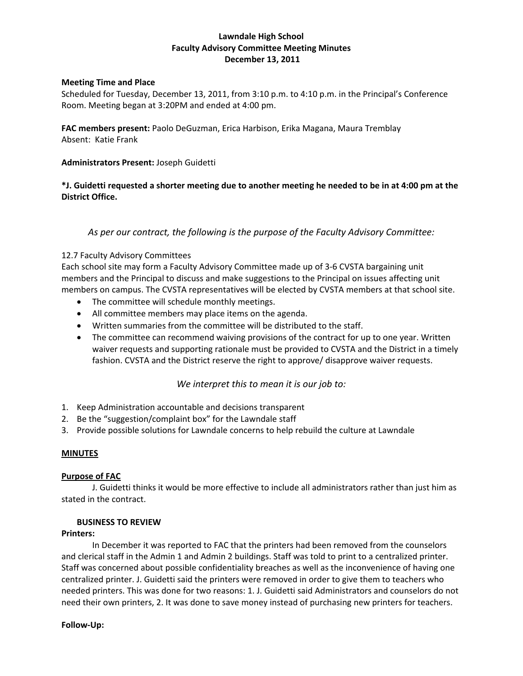# **Lawndale High School Faculty Advisory Committee Meeting Minutes December 13, 2011**

### **Meeting Time and Place**

Scheduled for Tuesday, December 13, 2011, from 3:10 p.m. to 4:10 p.m. in the Principal's Conference Room. Meeting began at 3:20PM and ended at 4:00 pm.

**FAC members present:** Paolo DeGuzman, Erica Harbison, Erika Magana, Maura Tremblay Absent: Katie Frank

## **Administrators Present:** Joseph Guidetti

# \*J. Guidetti requested a shorter meeting due to another meeting he needed to be in at 4:00 pm at the **District Office.**

# *As per our contract, the following is the purpose of the Faculty Advisory Committee:*

### 12.7 Faculty Advisory Committees

Each school site may form a Faculty Advisory Committee made up of 3‐6 CVSTA bargaining unit members and the Principal to discuss and make suggestions to the Principal on issues affecting unit members on campus. The CVSTA representatives will be elected by CVSTA members at that school site.

- The committee will schedule monthly meetings.
- All committee members may place items on the agenda.
- Written summaries from the committee will be distributed to the staff.
- The committee can recommend waiving provisions of the contract for up to one year. Written waiver requests and supporting rationale must be provided to CVSTA and the District in a timely fashion. CVSTA and the District reserve the right to approve/ disapprove waiver requests.

# *We interpret this to mean it is our job to:*

- 1. Keep Administration accountable and decisions transparent
- 2. Be the "suggestion/complaint box" for the Lawndale staff
- 3. Provide possible solutions for Lawndale concerns to help rebuild the culture at Lawndale

### **MINUTES**

# **Purpose of FAC**

J. Guidetti thinks it would be more effective to include all administrators rather than just him as stated in the contract.

### **BUSINESS TO REVIEW**

### **Printers:**

In December it was reported to FAC that the printers had been removed from the counselors and clerical staff in the Admin 1 and Admin 2 buildings. Staff was told to print to a centralized printer. Staff was concerned about possible confidentiality breaches as well as the inconvenience of having one centralized printer. J. Guidetti said the printers were removed in order to give them to teachers who needed printers. This was done for two reasons: 1. J. Guidetti said Administrators and counselors do not need their own printers, 2. It was done to save money instead of purchasing new printers for teachers.

### **Follow‐Up:**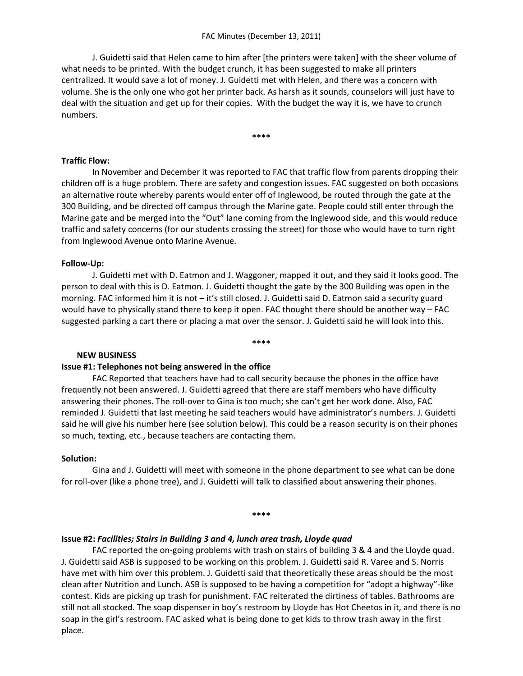J. Guidetti said that Helen came to him after [the printers were taken] with the sheer volume of what needs to be printed. With the budget crunch, it has been suggested to make all printers centralized. It would save a lot of money. J. Guidetti met with Helen, and there was a concern with volume. She is the only one who got her printer back. As harsh as it sounds, counselors will just have to deal with the situation and get up for their copies. With the budget the way it is, we have to crunch numbers.

**\*\*\*\***

## **Traffic Flow:**

In November and December it was reported to FAC that traffic flow from parents dropping their children off is a huge problem. There are safety and congestion issues. FAC suggested on both occasions an alternative route whereby parents would enter off of Inglewood, be routed through the gate at the 300 Building, and be directed off campus through the Marine gate. People could still enter through the Marine gate and be merged into the "Out" lane coming from the Inglewood side, and this would reduce traffic and safety concerns (for our students crossing the street) for those who would have to turn right from Inglewood Avenue onto Marine Avenue.

### **Follow‐Up:**

J. Guidetti met with D. Eatmon and J. Waggoner, mapped it out, and they said it looks good. The person to deal with this is D. Eatmon. J. Guidetti thought the gate by the 300 Building was open in the morning. FAC informed him it is not – it's still closed. J. Guidetti said D. Eatmon said a security guard would have to physically stand there to keep it open. FAC thought there should be another way – FAC suggested parking a cart there or placing a mat over the sensor. J. Guidetti said he will look into this.

#### **\*\*\*\***

### **NEW BUSINESS**

### **Issue #1: Telephones not being answered in the office**

FAC Reported that teachers have had to call security because the phones in the office have frequently not been answered. J. Guidetti agreed that there are staff members who have difficulty answering their phones. The roll-over to Gina is too much; she can't get her work done. Also, FAC reminded J. Guidetti that last meeting he said teachers would have administrator's numbers. J. Guidetti said he will give his number here (see solution below). This could be a reason security is on their phones so much, texting, etc., because teachers are contacting them.

### **Solution:**

Gina and J. Guidetti will meet with someone in the phone department to see what can be done for roll-over (like a phone tree), and J. Guidetti will talk to classified about answering their phones.

#### **\*\*\*\***

### **Issue #2:** *Facilities; Stairs in Building 3 and 4, lunch area trash, Lloyde quad*

FAC reported the on-going problems with trash on stairs of building 3 & 4 and the Lloyde quad. J. Guidetti said ASB is supposed to be working on this problem. J. Guidetti said R. Varee and S. Norris have met with him over this problem. J. Guidetti said that theoretically these areas should be the most clean after Nutrition and Lunch. ASB is supposed to be having a competition for "adopt a highway"‐like contest. Kids are picking up trash for punishment. FAC reiterated the dirtiness of tables. Bathrooms are still not all stocked. The soap dispenser in boy's restroom by Lloyde has Hot Cheetos in it, and there is no soap in the girl's restroom. FAC asked what is being done to get kids to throw trash away in the first place.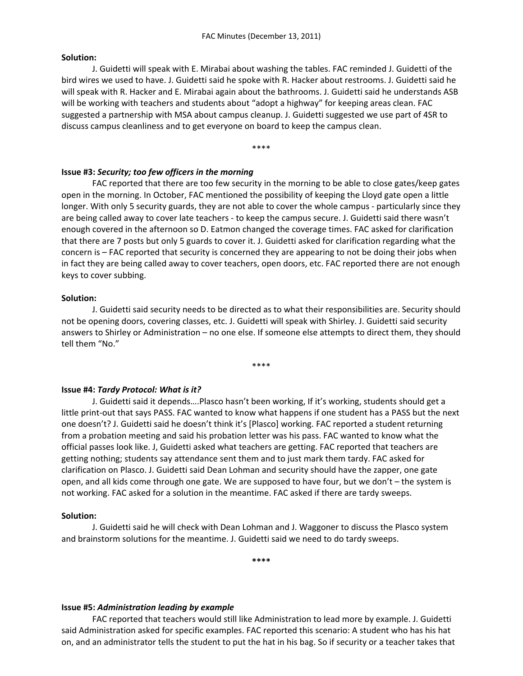#### **Solution:**

J. Guidetti will speak with E. Mirabai about washing the tables. FAC reminded J. Guidetti of the bird wires we used to have. J. Guidetti said he spoke with R. Hacker about restrooms. J. Guidetti said he will speak with R. Hacker and E. Mirabai again about the bathrooms. J. Guidetti said he understands ASB will be working with teachers and students about "adopt a highway" for keeping areas clean. FAC suggested a partnership with MSA about campus cleanup. J. Guidetti suggested we use part of 4SR to discuss campus cleanliness and to get everyone on board to keep the campus clean.

\*\*\*\*

### **Issue #3:** *Security; too few officers in the morning*

FAC reported that there are too few security in the morning to be able to close gates/keep gates open in the morning. In October, FAC mentioned the possibility of keeping the Lloyd gate open a little longer. With only 5 security guards, they are not able to cover the whole campus ‐ particularly since they are being called away to cover late teachers ‐ to keep the campus secure. J. Guidetti said there wasn't enough covered in the afternoon so D. Eatmon changed the coverage times. FAC asked for clarification that there are 7 posts but only 5 guards to cover it. J. Guidetti asked for clarification regarding what the concern is – FAC reported that security is concerned they are appearing to not be doing their jobs when in fact they are being called away to cover teachers, open doors, etc. FAC reported there are not enough keys to cover subbing.

#### **Solution:**

J. Guidetti said security needs to be directed as to what their responsibilities are. Security should not be opening doors, covering classes, etc. J. Guidetti will speak with Shirley. J. Guidetti said security answers to Shirley or Administration – no one else. If someone else attempts to direct them, they should tell them "No."

\*\*\*\*

### **Issue #4:** *Tardy Protocol: What is it?*

J. Guidetti said it depends….Plasco hasn't been working, If it's working, students should get a little print‐out that says PASS. FAC wanted to know what happens if one student has a PASS but the next one doesn't? J. Guidetti said he doesn't think it's [Plasco] working. FAC reported a student returning from a probation meeting and said his probation letter was his pass. FAC wanted to know what the official passes look like. J, Guidetti asked what teachers are getting. FAC reported that teachers are getting nothing; students say attendance sent them and to just mark them tardy. FAC asked for clarification on Plasco. J. Guidetti said Dean Lohman and security should have the zapper, one gate open, and all kids come through one gate. We are supposed to have four, but we don't – the system is not working. FAC asked for a solution in the meantime. FAC asked if there are tardy sweeps.

### **Solution:**

J. Guidetti said he will check with Dean Lohman and J. Waggoner to discuss the Plasco system and brainstorm solutions for the meantime. J. Guidetti said we need to do tardy sweeps.

**\*\*\*\***

### **Issue #5:** *Administration leading by example*

FAC reported that teachers would still like Administration to lead more by example. J. Guidetti said Administration asked for specific examples. FAC reported this scenario: A student who has his hat on, and an administrator tells the student to put the hat in his bag. So if security or a teacher takes that